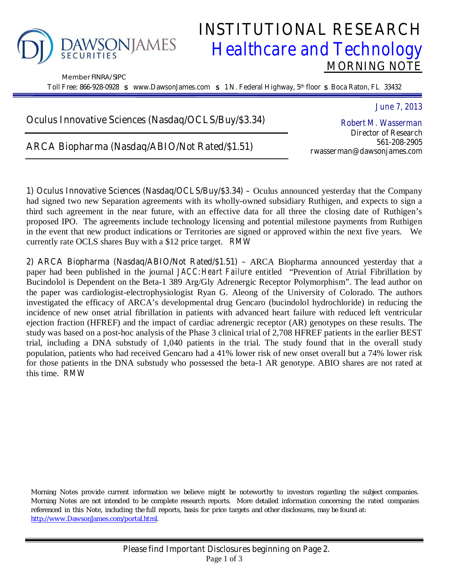

Member FINRA/SIPC

## **INSTITUTIONAL RESEARCH**<br>DNJAMES **Healthcare and Technology** *Healthcare and Technology*  **MORNING NOTE**

**Toll Free: 866-928-0928** s **www.DawsonJames.com** s **1 N. Federal Highway, 5th floor** s **Boca Raton, FL 33432**

**Oculus Innovative Sciences (Nasdaq/OCLS/Buy/\$3.34)** 

**ARCA Biopharma (Nasdaq/ABIO/Not Rated/\$1.51)** 

*Robert M. Wasserman*  **Director of Research 561-208-2905 rwasserman@dawsonjames.com**

*June 7, 2013* 

**1) Oculus Innovative Sciences (Nasdaq/OCLS/Buy/\$3.34) –** Oculus announced yesterday that the Company had signed two new Separation agreements with its wholly-owned subsidiary Ruthigen, and expects to sign a third such agreement in the near future, with an effective data for all three the closing date of Ruthigen's proposed IPO. The agreements include technology licensing and potential milestone payments from Ruthigen in the event that new product indications or Territories are signed or approved within the next five years. We currently rate OCLS shares Buy with a \$12 price target. *RMW* 

**2) ARCA Biopharma (Nasdaq/ABIO/Not Rated/\$1.51) –** ARCA Biopharma announced yesterday that a paper had been published in the journal *JACC:Heart Failure* entitled "Prevention of Atrial Fibrillation by Bucindolol is Dependent on the Beta-1 389 Arg/Gly Adrenergic Receptor Polymorphism". The lead author on the paper was cardiologist-electrophysiologist Ryan G. Aleong of the University of Colorado. The authors investigated the efficacy of ARCA's developmental drug Gencaro (bucindolol hydrochloride) in reducing the incidence of new onset atrial fibrillation in patients with advanced heart failure with reduced left ventricular ejection fraction (HFREF) and the impact of cardiac adrenergic receptor (AR) genotypes on these results. The study was based on a post-hoc analysis of the Phase 3 clinical trial of 2,708 HFREF patients in the earlier BEST trial, including a DNA substudy of 1,040 patients in the trial. The study found that in the overall study population, patients who had received Gencaro had a 41% lower risk of new onset overall but a 74% lower risk for those patients in the DNA substudy who possessed the beta-1 AR genotype. ABIO shares are not rated at this time. *RMW* 

Morning Notes provide current information we believe might be noteworthy to investors regarding the subject companies. Morning Notes are not intended to be complete research reports. More detailed information concerning the rated companies referenced in this Note, including the full reports, basis for price targets and other disclosures, may be found at: http://www.DawsonJames.com/portal.html.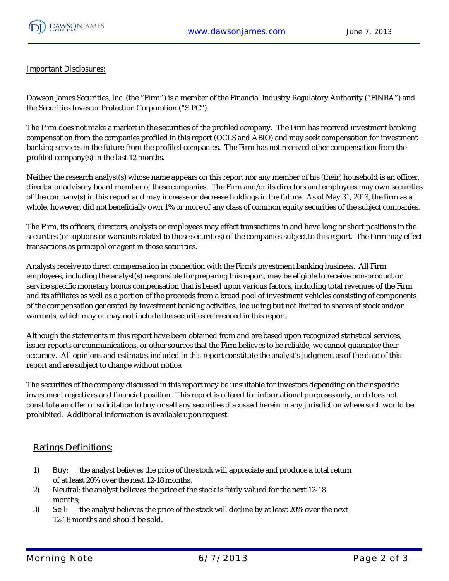

## **Important Disclosures:**

Dawson James Securities, Inc. (the "Firm") is a member of the Financial Industry Regulatory Authority ("FINRA") and the Securities Investor Protection Corporation ("SIPC").

The Firm does not make a market in the securities of the profiled company. The Firm has received investment banking compensation from the companies profiled in this report (OCLS and ABIO) and may seek compensation for investment banking services in the future from the profiled companies. The Firm has not received other compensation from the profiled company(s) in the last 12 months.

Neither the research analyst(s) whose name appears on this report nor any member of his (their) household is an officer, director or advisory board member of these companies. The Firm and/or its directors and employees may own securities of the company(s) in this report and may increase or decrease holdings in the future. As of May 31, 2013, the firm as a whole, however, did not beneficially own 1% or more of any class of common equity securities of the subject companies.

The Firm, its officers, directors, analysts or employees may effect transactions in and have long or short positions in the securities (or options or warrants related to those securities) of the companies subject to this report. The Firm may effect transactions as principal or agent in those securities.

Analysts receive no direct compensation in connection with the Firm's investment banking business. All Firm employees, including the analyst(s) responsible for preparing this report, may be eligible to receive non-product or service specific monetary bonus compensation that is based upon various factors, including total revenues of the Firm and its affiliates as well as a portion of the proceeds from a broad pool of investment vehicles consisting of components of the compensation generated by investment banking activities, including but not limited to shares of stock and/or warrants, which may or may not include the securities referenced in this report.

Although the statements in this report have been obtained from and are based upon recognized statistical services, issuer reports or communications, or other sources that the Firm believes to be reliable, we cannot guarantee their accuracy. All opinions and estimates included in this report constitute the analyst's judgment as of the date of this report and are subject to change without notice.

The securities of the company discussed in this report may be unsuitable for investors depending on their specific investment objectives and financial position. This report is offered for informational purposes only, and does not constitute an offer or solicitation to buy or sell any securities discussed herein in any jurisdiction where such would be prohibited. Additional information is available upon request.

## **Ratings Definitions:**

- 1) **Buy**: the analyst believes the price of the stock will appreciate and produce a total return of at least 20% over the next 12-18 months;
- 2) **Neutra**l: the analyst believes the price of the stock is fairly valued for the next 12-18 months;
- 3) **Sel**l: the analyst believes the price of the stock will decline by at least 20% over the next 12-18 months and should be sold.